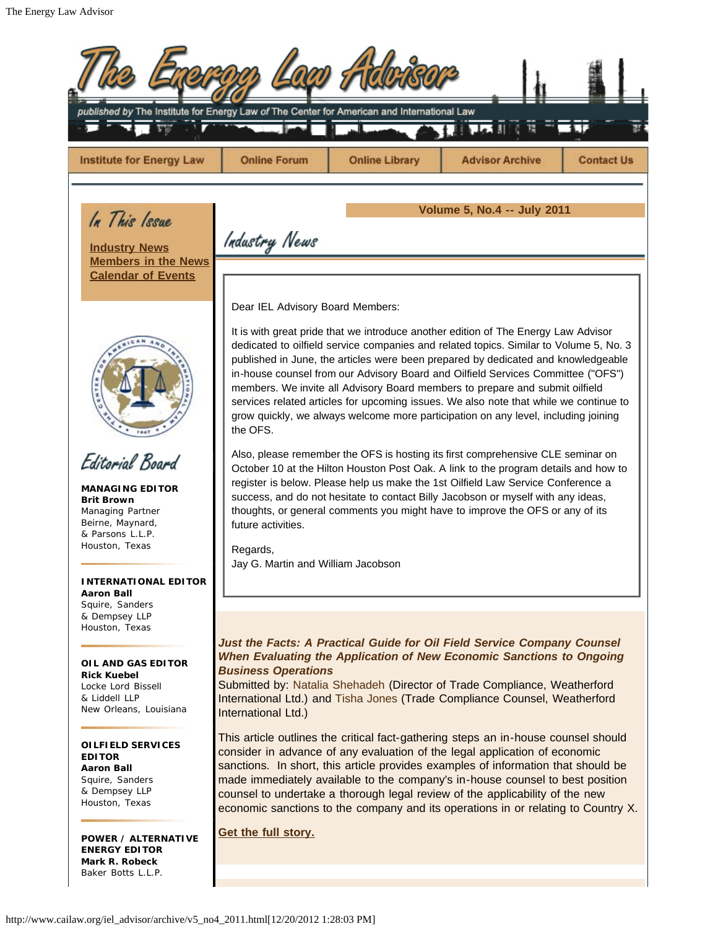| <b>Institute for Energy Law</b>                                                                                           | <b>Online Forum</b>                                                                                                                                                                                                                                                                                                                                                                                                                                                                                                                                                                                                              |                       |                                                                                                                                                                                                                                                                                                            |                   |  |
|---------------------------------------------------------------------------------------------------------------------------|----------------------------------------------------------------------------------------------------------------------------------------------------------------------------------------------------------------------------------------------------------------------------------------------------------------------------------------------------------------------------------------------------------------------------------------------------------------------------------------------------------------------------------------------------------------------------------------------------------------------------------|-----------------------|------------------------------------------------------------------------------------------------------------------------------------------------------------------------------------------------------------------------------------------------------------------------------------------------------------|-------------------|--|
|                                                                                                                           |                                                                                                                                                                                                                                                                                                                                                                                                                                                                                                                                                                                                                                  | <b>Online Library</b> | <b>Advisor Archive</b>                                                                                                                                                                                                                                                                                     | <b>Contact Us</b> |  |
| In This Issue                                                                                                             | <b>Volume 5, No.4 -- July 2011</b>                                                                                                                                                                                                                                                                                                                                                                                                                                                                                                                                                                                               |                       |                                                                                                                                                                                                                                                                                                            |                   |  |
| <b>Industry News</b>                                                                                                      | Industry News                                                                                                                                                                                                                                                                                                                                                                                                                                                                                                                                                                                                                    |                       |                                                                                                                                                                                                                                                                                                            |                   |  |
| <b>Members in the News</b><br><b>Calendar of Events</b>                                                                   |                                                                                                                                                                                                                                                                                                                                                                                                                                                                                                                                                                                                                                  |                       |                                                                                                                                                                                                                                                                                                            |                   |  |
|                                                                                                                           | Dear IEL Advisory Board Members:                                                                                                                                                                                                                                                                                                                                                                                                                                                                                                                                                                                                 |                       |                                                                                                                                                                                                                                                                                                            |                   |  |
|                                                                                                                           | It is with great pride that we introduce another edition of The Energy Law Advisor<br>dedicated to oilfield service companies and related topics. Similar to Volume 5, No. 3<br>published in June, the articles were been prepared by dedicated and knowledgeable<br>in-house counsel from our Advisory Board and Oilfield Services Committee ("OFS")<br>members. We invite all Advisory Board members to prepare and submit oilfield<br>services related articles for upcoming issues. We also note that while we continue to<br>grow quickly, we always welcome more participation on any level, including joining<br>the OFS. |                       |                                                                                                                                                                                                                                                                                                            |                   |  |
| Editorial Board                                                                                                           | Also, please remember the OFS is hosting its first comprehensive CLE seminar on<br>October 10 at the Hilton Houston Post Oak. A link to the program details and how to                                                                                                                                                                                                                                                                                                                                                                                                                                                           |                       |                                                                                                                                                                                                                                                                                                            |                   |  |
| <b>MANAGING EDITOR</b><br><b>Brit Brown</b><br>Managing Partner<br>Beirne, Maynard,<br>& Parsons L.L.P.<br>Houston, Texas | register is below. Please help us make the 1st Oilfield Law Service Conference a<br>success, and do not hesitate to contact Billy Jacobson or myself with any ideas,<br>thoughts, or general comments you might have to improve the OFS or any of its<br>future activities.<br>Regards,                                                                                                                                                                                                                                                                                                                                          |                       |                                                                                                                                                                                                                                                                                                            |                   |  |
| <b>INTERNATIONAL EDITOR</b>                                                                                               | Jay G. Martin and William Jacobson                                                                                                                                                                                                                                                                                                                                                                                                                                                                                                                                                                                               |                       |                                                                                                                                                                                                                                                                                                            |                   |  |
| <b>Aaron Ball</b><br>Squire, Sanders<br>& Dempsey LLP                                                                     |                                                                                                                                                                                                                                                                                                                                                                                                                                                                                                                                                                                                                                  |                       |                                                                                                                                                                                                                                                                                                            |                   |  |
| Houston, Texas<br>OIL AND GAS EDITOR<br><b>Rick Kuebel</b><br>Locke Lord Bissell<br>& Liddell LLP                         | <b>Business Operations</b>                                                                                                                                                                                                                                                                                                                                                                                                                                                                                                                                                                                                       |                       | Just the Facts: A Practical Guide for Oil Field Service Company Counsel<br>When Evaluating the Application of New Economic Sanctions to Ongoing<br>Submitted by: Natalia Shehadeh (Director of Trade Compliance, Weatherford<br>International Ltd.) and Tisha Jones (Trade Compliance Counsel, Weatherford |                   |  |
| New Orleans, Louisiana                                                                                                    | International Ltd.)                                                                                                                                                                                                                                                                                                                                                                                                                                                                                                                                                                                                              |                       |                                                                                                                                                                                                                                                                                                            |                   |  |
| OILFIELD SERVICES<br><b>EDITOR</b><br><b>Aaron Ball</b><br>Squire, Sanders<br>& Dempsey LLP<br>Houston, Texas             | This article outlines the critical fact-gathering steps an in-house counsel should<br>consider in advance of any evaluation of the legal application of economic<br>sanctions. In short, this article provides examples of information that should be<br>made immediately available to the company's in-house counsel to best position<br>counsel to undertake a thorough legal review of the applicability of the new<br>economic sanctions to the company and its operations in or relating to Country X.                                                                                                                      |                       |                                                                                                                                                                                                                                                                                                            |                   |  |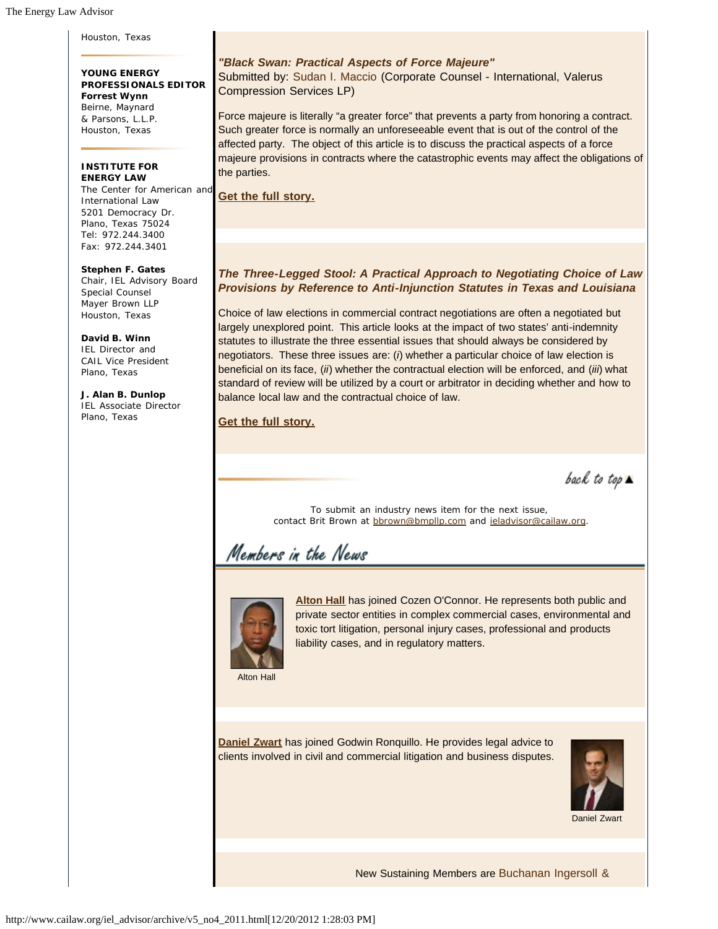Houston, Texas

**YOUNG ENERGY PROFESSIONALS EDITOR Forrest Wynn** Beirne, Maynard & Parsons, L.L.P. Houston, Texas

#### **INSTITUTE FOR ENERGY LAW**

The Center for American and International Law 5201 Democracy Dr. Plano, Texas 75024 Tel: 972.244.3400 Fax: 972.244.3401

**Stephen F. Gates** Chair, IEL Advisory Board Special Counsel Mayer Brown LLP Houston, Texas

**David B. Winn** IEL Director and CAIL Vice President Plano, Texas

**J. Alan B. Dunlop** IEL Associate Director Plano, Texas

## *"Black Swan: Practical Aspects of Force Majeure"* Submitted by: Sudan I. Maccio (Corporate Counsel - International, Valerus Compression Services LP)

Force majeure is literally "a greater force" that prevents a party from honoring a contract. Such greater force is normally an unforeseeable event that is out of the control of the affected party. The object of this article is to discuss the practical aspects of a force majeure provisions in contracts where the catastrophic events may affect the obligations of the parties.

**Get the full story.**

# *The Three-Legged Stool: A Practical Approach to Negotiating Choice of Law Provisions by Reference to Anti-Injunction Statutes in Texas and Louisiana*

Choice of law elections in commercial contract negotiations are often a negotiated but largely unexplored point. This article looks at the impact of two states' anti-indemnity statutes to illustrate the three essential issues that should always be considered by negotiators. These three issues are: (*i*) whether a particular choice of law election is beneficial on its face, (*ii*) whether the contractual election will be enforced, and (*iii*) what standard of review will be utilized by a court or arbitrator in deciding whether and how to balance local law and the contractual choice of law.

**Get the full story.**

back to top  $\blacktriangle$ 

To submit an industry news item for the next issue, contact Brit Brown at bbrown@bmpllp.com and ieladvisor@cailaw.org.

# Members in the News



**Alton Hall** has joined Cozen O'Connor. He represents both public and private sector entities in complex commercial cases, environmental and toxic tort litigation, personal injury cases, professional and products liability cases, and in regulatory matters.

Alton Hall

**Daniel Zwart** has joined Godwin Ronquillo. He provides legal advice to clients involved in civil and commercial litigation and business disputes.



Daniel Zwart

New Sustaining Members are Buchanan Ingersoll &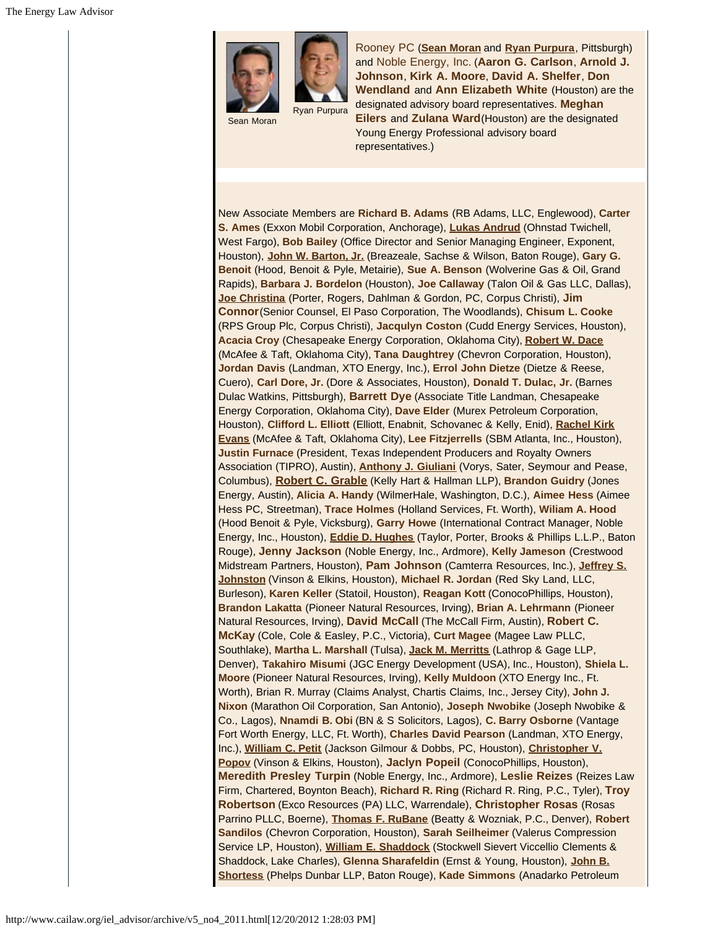

Sean Moran

Rooney PC (**Sean Moran** and **Ryan Purpura**, Pittsburgh) and Noble Energy, Inc. (**Aaron G. Carlson**, **Arnold J. Johnson**, **Kirk A. Moore**, **David A. Shelfer**, **Don Wendland** and **Ann Elizabeth White** (Houston) are the designated advisory board representatives. **Meghan Eilers** and **Zulana Ward**(Houston) are the designated Young Energy Professional advisory board representatives.)

New Associate Members are **Richard B. Adams** (RB Adams, LLC, Englewood), **Carter S. Ames** (Exxon Mobil Corporation, Anchorage), **Lukas Andrud** (Ohnstad Twichell, West Fargo), **Bob Bailey** (Office Director and Senior Managing Engineer, Exponent, Houston), **John W. Barton, Jr.** (Breazeale, Sachse & Wilson, Baton Rouge), **Gary G. Benoit** (Hood, Benoit & Pyle, Metairie), **Sue A. Benson** (Wolverine Gas & Oil, Grand Rapids), **Barbara J. Bordelon** (Houston), **Joe Callaway** (Talon Oil & Gas LLC, Dallas), **Joe Christina** (Porter, Rogers, Dahlman & Gordon, PC, Corpus Christi), **Jim Connor**(Senior Counsel, El Paso Corporation, The Woodlands), **Chisum L. Cooke** (RPS Group Plc, Corpus Christi), **Jacqulyn Coston** (Cudd Energy Services, Houston), **Acacia Croy** (Chesapeake Energy Corporation, Oklahoma City), **Robert W. Dace** (McAfee & Taft, Oklahoma City), **Tana Daughtrey** (Chevron Corporation, Houston), **Jordan Davis** (Landman, XTO Energy, Inc.), **Errol John Dietze** (Dietze & Reese, Cuero), **Carl Dore, Jr.** (Dore & Associates, Houston), **Donald T. Dulac, Jr.** (Barnes Dulac Watkins, Pittsburgh), **Barrett Dye** (Associate Title Landman, Chesapeake Energy Corporation, Oklahoma City), **Dave Elder** (Murex Petroleum Corporation, Houston), **Clifford L. Elliott** (Elliott, Enabnit, Schovanec & Kelly, Enid), **Rachel Kirk Evans** (McAfee & Taft, Oklahoma City), **Lee Fitzjerrells** (SBM Atlanta, Inc., Houston), **Justin Furnace** (President, Texas Independent Producers and Royalty Owners Association (TIPRO), Austin), **Anthony J. Giuliani** (Vorys, Sater, Seymour and Pease, Columbus), **Robert C. Grable** (Kelly Hart & Hallman LLP), **Brandon Guidry** (Jones Energy, Austin), **Alicia A. Handy** (WilmerHale, Washington, D.C.), **Aimee Hess** (Aimee Hess PC, Streetman), **Trace Holmes** (Holland Services, Ft. Worth), **Wiliam A. Hood** (Hood Benoit & Pyle, Vicksburg), **Garry Howe** (International Contract Manager, Noble Energy, Inc., Houston), **Eddie D. Hughes** (Taylor, Porter, Brooks & Phillips L.L.P., Baton Rouge), **Jenny Jackson** (Noble Energy, Inc., Ardmore), **Kelly Jameson** (Crestwood Midstream Partners, Houston), **Pam Johnson** (Camterra Resources, Inc.), **Jeffrey S. Johnston** (Vinson & Elkins, Houston), **Michael R. Jordan** (Red Sky Land, LLC, Burleson), **Karen Keller** (Statoil, Houston), **Reagan Kott** (ConocoPhillips, Houston), **Brandon Lakatta** (Pioneer Natural Resources, Irving), **Brian A. Lehrmann** (Pioneer Natural Resources, Irving), **David McCall** (The McCall Firm, Austin), **Robert C. McKay** (Cole, Cole & Easley, P.C., Victoria), **Curt Magee** (Magee Law PLLC, Southlake), **Martha L. Marshall** (Tulsa), **Jack M. Merritts** (Lathrop & Gage LLP, Denver), **Takahiro Misumi** (JGC Energy Development (USA), Inc., Houston), **Shiela L. Moore** (Pioneer Natural Resources, Irving), **Kelly Muldoon** (XTO Energy Inc., Ft. Worth), Brian R. Murray (Claims Analyst, Chartis Claims, Inc., Jersey City), **John J. Nixon** (Marathon Oil Corporation, San Antonio), **Joseph Nwobike** (Joseph Nwobike & Co., Lagos), **Nnamdi B. Obi** (BN & S Solicitors, Lagos), **C. Barry Osborne** (Vantage Fort Worth Energy, LLC, Ft. Worth), **Charles David Pearson** (Landman, XTO Energy, Inc.), **William C. Petit** (Jackson Gilmour & Dobbs, PC, Houston), **Christopher V. Popov** (Vinson & Elkins, Houston), **Jaclyn Popeil** (ConocoPhillips, Houston), **Meredith Presley Turpin** (Noble Energy, Inc., Ardmore), **Leslie Reizes** (Reizes Law Firm, Chartered, Boynton Beach), **Richard R. Ring** (Richard R. Ring, P.C., Tyler), **Troy Robertson** (Exco Resources (PA) LLC, Warrendale), **Christopher Rosas** (Rosas Parrino PLLC, Boerne), **Thomas F. RuBane** (Beatty & Wozniak, P.C., Denver), **Robert Sandilos** (Chevron Corporation, Houston), **Sarah Seilheimer** (Valerus Compression Service LP, Houston), **William E. Shaddock** (Stockwell Sievert Viccellio Clements & Shaddock, Lake Charles), **Glenna Sharafeldin** (Ernst & Young, Houston), **John B. Shortess** (Phelps Dunbar LLP, Baton Rouge), **Kade Simmons** (Anadarko Petroleum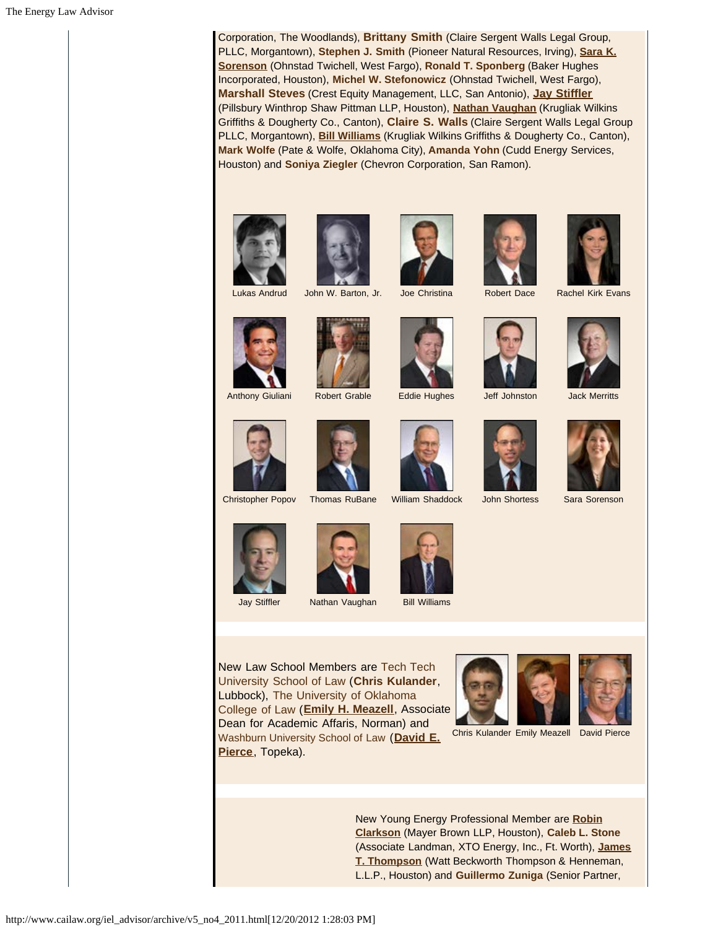Corporation, The Woodlands), **Brittany Smith** (Claire Sergent Walls Legal Group, PLLC, Morgantown), **Stephen J. Smith** (Pioneer Natural Resources, Irving), **Sara K. Sorenson** (Ohnstad Twichell, West Fargo), **Ronald T. Sponberg** (Baker Hughes Incorporated, Houston), **Michel W. Stefonowicz** (Ohnstad Twichell, West Fargo), **Marshall Steves** (Crest Equity Management, LLC, San Antonio), **Jay Stiffler** (Pillsbury Winthrop Shaw Pittman LLP, Houston), **Nathan Vaughan** (Krugliak Wilkins Griffiths & Dougherty Co., Canton), **Claire S. Walls** (Claire Sergent Walls Legal Group PLLC, Morgantown), **Bill Williams** (Krugliak Wilkins Griffiths & Dougherty Co., Canton), **Mark Wolfe** (Pate & Wolfe, Oklahoma City), **Amanda Yohn** (Cudd Energy Services, Houston) and **Soniya Ziegler** (Chevron Corporation, San Ramon).











Lukas Andrud John W. Barton, Jr. Joe Christina Robert Dace Rachel Kirk Evans







Anthony Giuliani Robert Grable Eddie Hughes Jeff Johnston Jack Merritts











Jay Stiffler Nathan Vaughan Bill Williams



New Law School Members are Tech Tech University School of Law (**Chris Kulander**, Lubbock), The University of Oklahoma College of Law (**Emily H. Meazell**, Associate Dean for Academic Affaris, Norman) and Washburn University School of Law (**David E.**





Chris Kulander Emily Meazell David Pierce

New Young Energy Professional Member are **Robin Clarkson** (Mayer Brown LLP, Houston), **Caleb L. Stone** (Associate Landman, XTO Energy, Inc., Ft. Worth), **James T. Thompson** (Watt Beckworth Thompson & Henneman, L.L.P., Houston) and **Guillermo Zuniga** (Senior Partner,











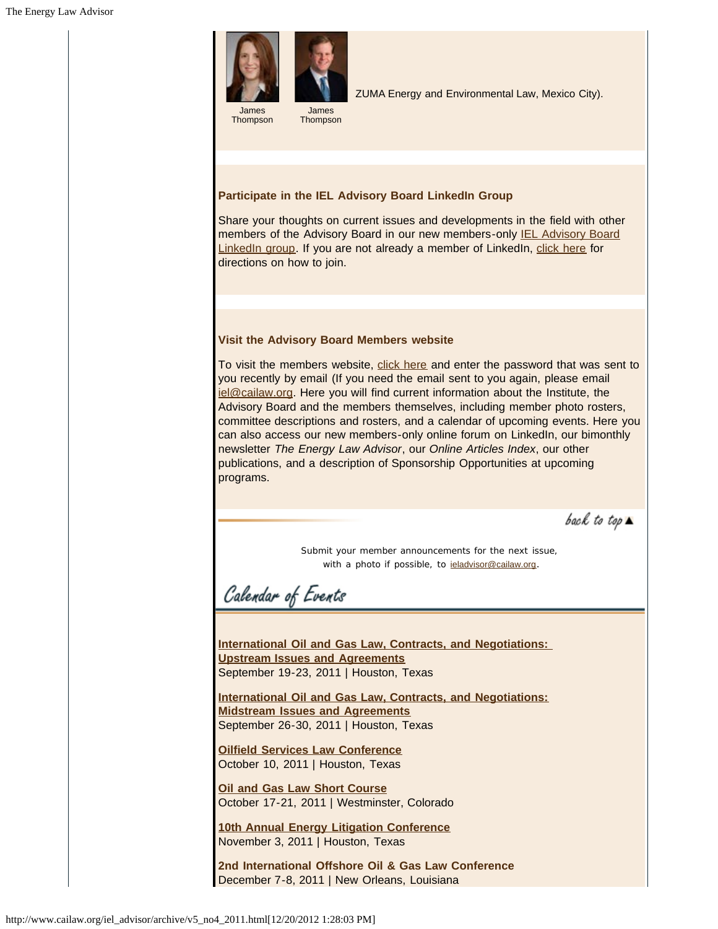

Thompson



#### **Participate in the IEL Advisory Board LinkedIn Group**

Share your thoughts on current issues and developments in the field with other members of the Advisory Board in our new members-only IEL Advisory Board LinkedIn group. If you are not already a member of LinkedIn, click here for directions on how to join.

#### **Visit the Advisory Board Members website**

To visit the members website, click here and enter the password that was sent to you recently by email (If you need the email sent to you again, please email iel@cailaw.org. Here you will find current information about the Institute, the Advisory Board and the members themselves, including member photo rosters, committee descriptions and rosters, and a calendar of upcoming events. Here you can also access our new members-only online forum on LinkedIn, our bimonthly newsletter *The Energy Law Advisor*, our *Online Articles Index*, our other publications, and a description of Sponsorship Opportunities at upcoming programs.

back to top  $\blacktriangle$ 

Submit your member announcements for the next issue, with a photo if possible, to **ieladvisor@cailaw.org**.

Calendar of Events

**International Oil and Gas Law, Contracts, and Negotiations: Upstream Issues and Agreements** September 19-23, 2011 | Houston, Texas

**International Oil and Gas Law, Contracts, and Negotiations: Midstream Issues and Agreements** September 26-30, 2011 | Houston, Texas

**Oilfield Services Law Conference** October 10, 2011 | Houston, Texas

**Oil and Gas Law Short Course** October 17-21, 2011 | Westminster, Colorado

**10th Annual Energy Litigation Conference** November 3, 2011 | Houston, Texas

**2nd International Offshore Oil & Gas Law Conference** December 7-8, 2011 | New Orleans, Louisiana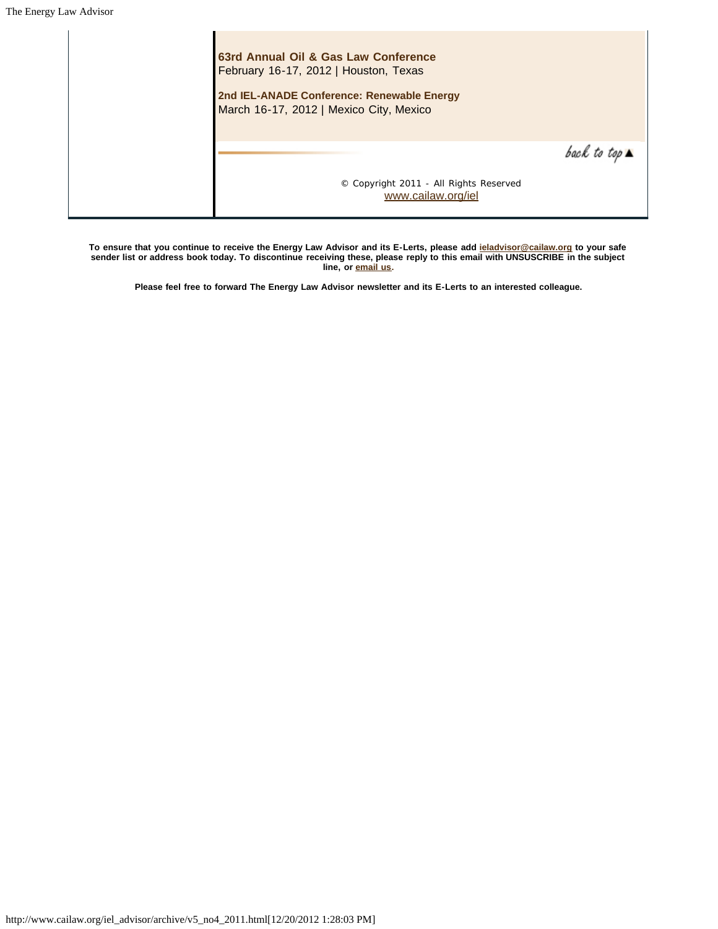$\overline{1}$ 

| 63rd Annual Oil & Gas Law Conference<br>February 16-17, 2012   Houston, Texas<br>2nd IEL-ANADE Conference: Renewable Energy<br>March 16-17, 2012   Mexico City, Mexico |                              |
|------------------------------------------------------------------------------------------------------------------------------------------------------------------------|------------------------------|
|                                                                                                                                                                        | back to top $\blacktriangle$ |
| © Copyright 2011 - All Rights Reserved<br>www.cailaw.org/iel                                                                                                           |                              |

**To ensure that you continue to receive the Energy Law Advisor and its E-Lerts, please add ieladvisor@cailaw.org to your safe sender list or address book today. To discontinue receiving these, please reply to this email with UNSUSCRIBE in the subject line, or email us.**

**Please feel free to forward The Energy Law Advisor newsletter and its E-Lerts to an interested colleague.**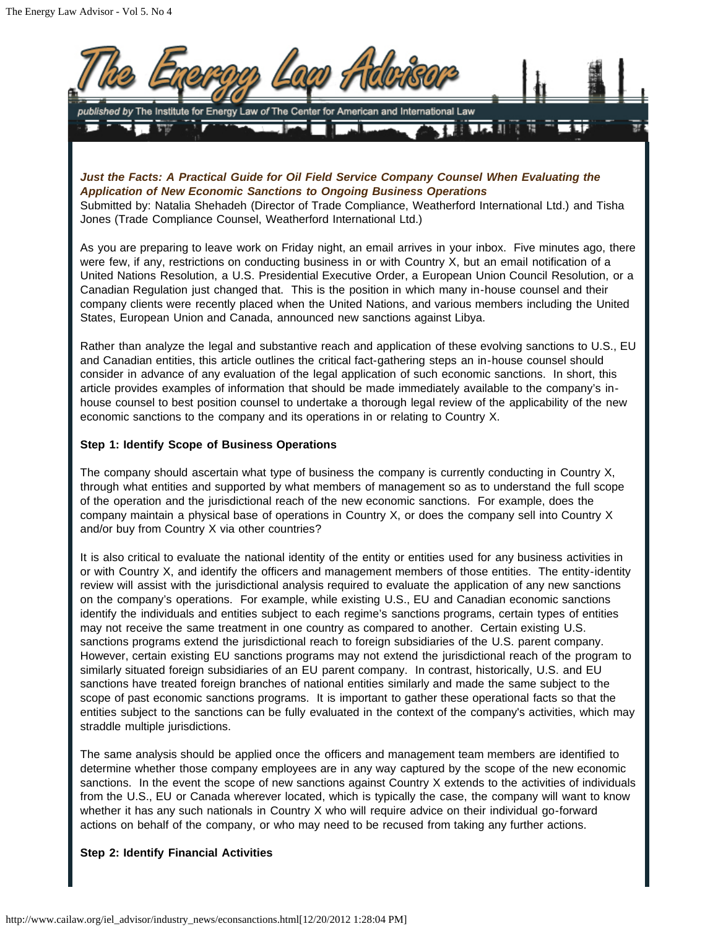

*Just the Facts: A Practical Guide for Oil Field Service Company Counsel When Evaluating the Application of New Economic Sanctions to Ongoing Business Operations* Submitted by: Natalia Shehadeh (Director of Trade Compliance, Weatherford International Ltd.) and Tisha

Jones (Trade Compliance Counsel, Weatherford International Ltd.)

As you are preparing to leave work on Friday night, an email arrives in your inbox. Five minutes ago, there were few, if any, restrictions on conducting business in or with Country X, but an email notification of a United Nations Resolution, a U.S. Presidential Executive Order, a European Union Council Resolution, or a Canadian Regulation just changed that. This is the position in which many in-house counsel and their company clients were recently placed when the United Nations, and various members including the United States, European Union and Canada, announced new sanctions against Libya.

Rather than analyze the legal and substantive reach and application of these evolving sanctions to U.S., EU and Canadian entities, this article outlines the critical fact-gathering steps an in-house counsel should consider in advance of any evaluation of the legal application of such economic sanctions. In short, this article provides examples of information that should be made immediately available to the company's inhouse counsel to best position counsel to undertake a thorough legal review of the applicability of the new economic sanctions to the company and its operations in or relating to Country X.

## **Step 1: Identify Scope of Business Operations**

The company should ascertain what type of business the company is currently conducting in Country X, through what entities and supported by what members of management so as to understand the full scope of the operation and the jurisdictional reach of the new economic sanctions. For example, does the company maintain a physical base of operations in Country X, or does the company sell into Country X and/or buy from Country X via other countries?

It is also critical to evaluate the national identity of the entity or entities used for any business activities in or with Country X, and identify the officers and management members of those entities. The entity-identity review will assist with the jurisdictional analysis required to evaluate the application of any new sanctions on the company's operations. For example, while existing U.S., EU and Canadian economic sanctions identify the individuals and entities subject to each regime's sanctions programs, certain types of entities may not receive the same treatment in one country as compared to another. Certain existing U.S. sanctions programs extend the jurisdictional reach to foreign subsidiaries of the U.S. parent company. However, certain existing EU sanctions programs may not extend the jurisdictional reach of the program to similarly situated foreign subsidiaries of an EU parent company. In contrast, historically, U.S. and EU sanctions have treated foreign branches of national entities similarly and made the same subject to the scope of past economic sanctions programs. It is important to gather these operational facts so that the entities subject to the sanctions can be fully evaluated in the context of the company's activities, which may straddle multiple jurisdictions.

The same analysis should be applied once the officers and management team members are identified to determine whether those company employees are in any way captured by the scope of the new economic sanctions. In the event the scope of new sanctions against Country X extends to the activities of individuals from the U.S., EU or Canada wherever located, which is typically the case, the company will want to know whether it has any such nationals in Country X who will require advice on their individual go-forward actions on behalf of the company, or who may need to be recused from taking any further actions.

#### **Step 2: Identify Financial Activities**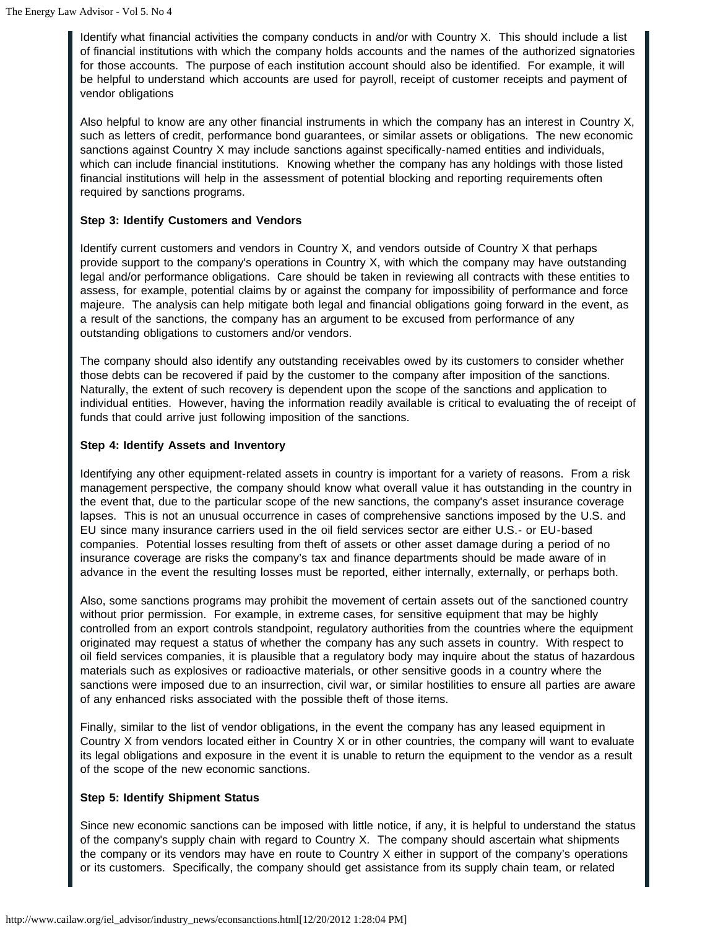Identify what financial activities the company conducts in and/or with Country X. This should include a list of financial institutions with which the company holds accounts and the names of the authorized signatories for those accounts. The purpose of each institution account should also be identified. For example, it will be helpful to understand which accounts are used for payroll, receipt of customer receipts and payment of vendor obligations

Also helpful to know are any other financial instruments in which the company has an interest in Country X, such as letters of credit, performance bond guarantees, or similar assets or obligations. The new economic sanctions against Country X may include sanctions against specifically-named entities and individuals, which can include financial institutions. Knowing whether the company has any holdings with those listed financial institutions will help in the assessment of potential blocking and reporting requirements often required by sanctions programs.

## **Step 3: Identify Customers and Vendors**

Identify current customers and vendors in Country X, and vendors outside of Country X that perhaps provide support to the company's operations in Country X, with which the company may have outstanding legal and/or performance obligations. Care should be taken in reviewing all contracts with these entities to assess, for example, potential claims by or against the company for impossibility of performance and force majeure. The analysis can help mitigate both legal and financial obligations going forward in the event, as a result of the sanctions, the company has an argument to be excused from performance of any outstanding obligations to customers and/or vendors.

The company should also identify any outstanding receivables owed by its customers to consider whether those debts can be recovered if paid by the customer to the company after imposition of the sanctions. Naturally, the extent of such recovery is dependent upon the scope of the sanctions and application to individual entities. However, having the information readily available is critical to evaluating the of receipt of funds that could arrive just following imposition of the sanctions.

#### **Step 4: Identify Assets and Inventory**

Identifying any other equipment-related assets in country is important for a variety of reasons. From a risk management perspective, the company should know what overall value it has outstanding in the country in the event that, due to the particular scope of the new sanctions, the company's asset insurance coverage lapses. This is not an unusual occurrence in cases of comprehensive sanctions imposed by the U.S. and EU since many insurance carriers used in the oil field services sector are either U.S.- or EU-based companies. Potential losses resulting from theft of assets or other asset damage during a period of no insurance coverage are risks the company's tax and finance departments should be made aware of in advance in the event the resulting losses must be reported, either internally, externally, or perhaps both.

Also, some sanctions programs may prohibit the movement of certain assets out of the sanctioned country without prior permission. For example, in extreme cases, for sensitive equipment that may be highly controlled from an export controls standpoint, regulatory authorities from the countries where the equipment originated may request a status of whether the company has any such assets in country. With respect to oil field services companies, it is plausible that a regulatory body may inquire about the status of hazardous materials such as explosives or radioactive materials, or other sensitive goods in a country where the sanctions were imposed due to an insurrection, civil war, or similar hostilities to ensure all parties are aware of any enhanced risks associated with the possible theft of those items.

Finally, similar to the list of vendor obligations, in the event the company has any leased equipment in Country X from vendors located either in Country X or in other countries, the company will want to evaluate its legal obligations and exposure in the event it is unable to return the equipment to the vendor as a result of the scope of the new economic sanctions.

# **Step 5: Identify Shipment Status**

Since new economic sanctions can be imposed with little notice, if any, it is helpful to understand the status of the company's supply chain with regard to Country X. The company should ascertain what shipments the company or its vendors may have en route to Country X either in support of the company's operations or its customers. Specifically, the company should get assistance from its supply chain team, or related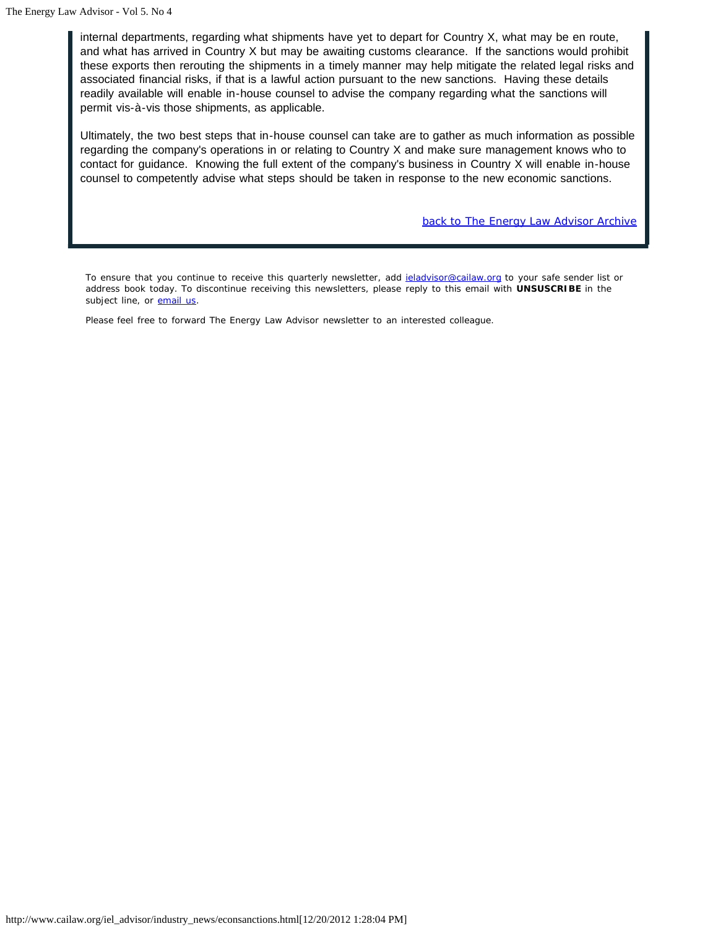internal departments, regarding what shipments have yet to depart for Country X, what may be en route, and what has arrived in Country X but may be awaiting customs clearance. If the sanctions would prohibit these exports then rerouting the shipments in a timely manner may help mitigate the related legal risks and associated financial risks, if that is a lawful action pursuant to the new sanctions. Having these details readily available will enable in-house counsel to advise the company regarding what the sanctions will permit vis-à-vis those shipments, as applicable.

Ultimately, the two best steps that in-house counsel can take are to gather as much information as possible regarding the company's operations in or relating to Country X and make sure management knows who to contact for guidance. Knowing the full extent of the company's business in Country X will enable in-house counsel to competently advise what steps should be taken in response to the new economic sanctions.

*back to The Energy Law Advisor Archive*

To ensure that you continue to receive this quarterly newsletter, add *ieladvisor@cailaw.org* to your safe sender list or address book today. To discontinue receiving this newsletters, please reply to this email with **UNSUSCRIBE** in the subject line, or **email us**.

Please feel free to forward The Energy Law Advisor newsletter to an interested colleague.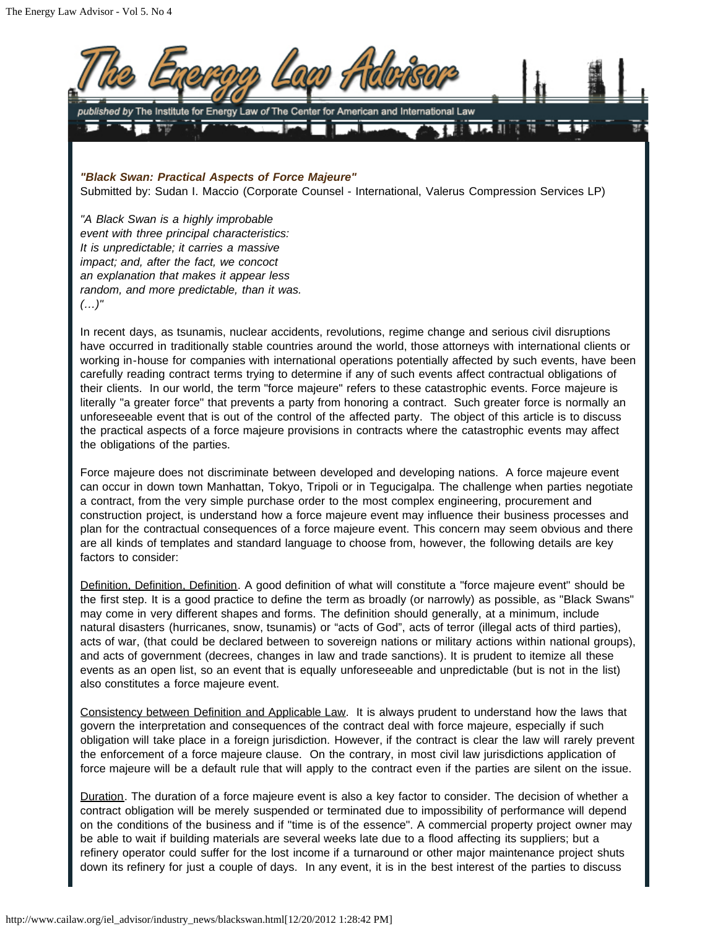

*"Black Swan: Practical Aspects of Force Majeure"* Submitted by: Sudan I. Maccio (Corporate Counsel - International, Valerus Compression Services LP)

*"A Black Swan is a highly improbable event with three principal characteristics: It is unpredictable; it carries a massive impact; and, after the fact, we concoct an explanation that makes it appear less random, and more predictable, than it was. (…)"*

In recent days, as tsunamis, nuclear accidents, revolutions, regime change and serious civil disruptions have occurred in traditionally stable countries around the world, those attorneys with international clients or working in-house for companies with international operations potentially affected by such events, have been carefully reading contract terms trying to determine if any of such events affect contractual obligations of their clients. In our world, the term "force majeure" refers to these catastrophic events. Force majeure is literally "a greater force" that prevents a party from honoring a contract. Such greater force is normally an unforeseeable event that is out of the control of the affected party. The object of this article is to discuss the practical aspects of a force majeure provisions in contracts where the catastrophic events may affect the obligations of the parties.

Force majeure does not discriminate between developed and developing nations. A force majeure event can occur in down town Manhattan, Tokyo, Tripoli or in Tegucigalpa. The challenge when parties negotiate a contract, from the very simple purchase order to the most complex engineering, procurement and construction project, is understand how a force majeure event may influence their business processes and plan for the contractual consequences of a force majeure event. This concern may seem obvious and there are all kinds of templates and standard language to choose from, however, the following details are key factors to consider:

Definition, Definition, Definition. A good definition of what will constitute a "force majeure event" should be the first step. It is a good practice to define the term as broadly (or narrowly) as possible, as "Black Swans" may come in very different shapes and forms. The definition should generally, at a minimum, include natural disasters (hurricanes, snow, tsunamis) or "acts of God", acts of terror (illegal acts of third parties), acts of war, (that could be declared between to sovereign nations or military actions within national groups), and acts of government (decrees, changes in law and trade sanctions). It is prudent to itemize all these events as an open list, so an event that is equally unforeseeable and unpredictable (but is not in the list) also constitutes a force majeure event.

Consistency between Definition and Applicable Law. It is always prudent to understand how the laws that govern the interpretation and consequences of the contract deal with force majeure, especially if such obligation will take place in a foreign jurisdiction. However, if the contract is clear the law will rarely prevent the enforcement of a force majeure clause. On the contrary, in most civil law jurisdictions application of force majeure will be a default rule that will apply to the contract even if the parties are silent on the issue.

Duration. The duration of a force majeure event is also a key factor to consider. The decision of whether a contract obligation will be merely suspended or terminated due to impossibility of performance will depend on the conditions of the business and if "time is of the essence". A commercial property project owner may be able to wait if building materials are several weeks late due to a flood affecting its suppliers; but a refinery operator could suffer for the lost income if a turnaround or other major maintenance project shuts down its refinery for just a couple of days. In any event, it is in the best interest of the parties to discuss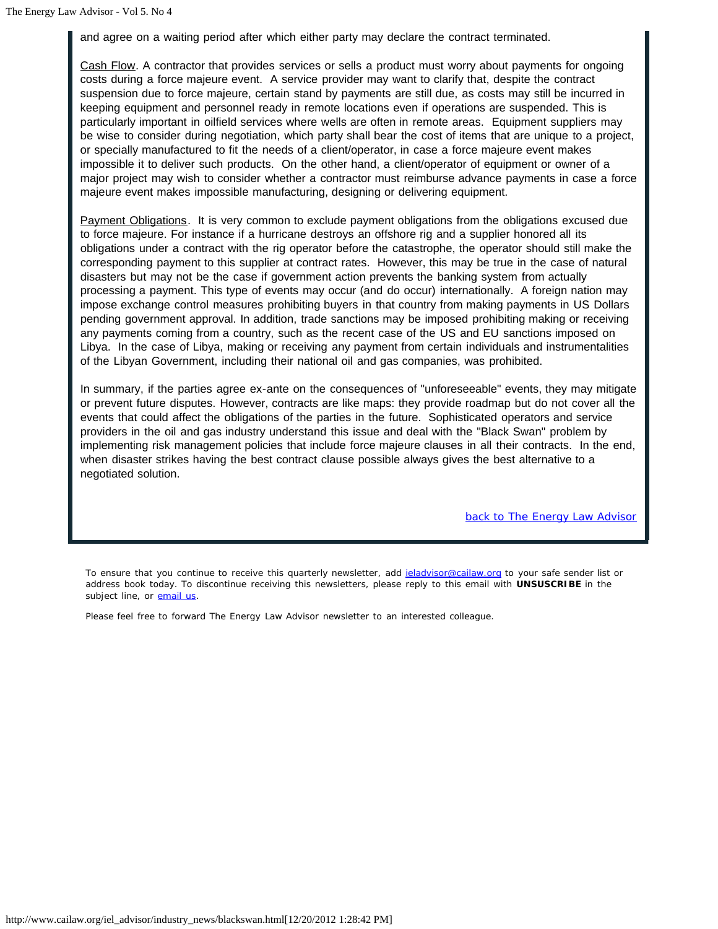and agree on a waiting period after which either party may declare the contract terminated.

Cash Flow. A contractor that provides services or sells a product must worry about payments for ongoing costs during a force majeure event. A service provider may want to clarify that, despite the contract suspension due to force majeure, certain stand by payments are still due, as costs may still be incurred in keeping equipment and personnel ready in remote locations even if operations are suspended. This is particularly important in oilfield services where wells are often in remote areas. Equipment suppliers may be wise to consider during negotiation, which party shall bear the cost of items that are unique to a project, or specially manufactured to fit the needs of a client/operator, in case a force majeure event makes impossible it to deliver such products. On the other hand, a client/operator of equipment or owner of a major project may wish to consider whether a contractor must reimburse advance payments in case a force majeure event makes impossible manufacturing, designing or delivering equipment.

Payment Obligations. It is very common to exclude payment obligations from the obligations excused due to force majeure. For instance if a hurricane destroys an offshore rig and a supplier honored all its obligations under a contract with the rig operator before the catastrophe, the operator should still make the corresponding payment to this supplier at contract rates. However, this may be true in the case of natural disasters but may not be the case if government action prevents the banking system from actually processing a payment. This type of events may occur (and do occur) internationally. A foreign nation may impose exchange control measures prohibiting buyers in that country from making payments in US Dollars pending government approval. In addition, trade sanctions may be imposed prohibiting making or receiving any payments coming from a country, such as the recent case of the US and EU sanctions imposed on Libya. In the case of Libya, making or receiving any payment from certain individuals and instrumentalities of the Libyan Government, including their national oil and gas companies, was prohibited.

In summary, if the parties agree ex-ante on the consequences of "unforeseeable" events, they may mitigate or prevent future disputes. However, contracts are like maps: they provide roadmap but do not cover all the events that could affect the obligations of the parties in the future. Sophisticated operators and service providers in the oil and gas industry understand this issue and deal with the "Black Swan" problem by implementing risk management policies that include force majeure clauses in all their contracts. In the end, when disaster strikes having the best contract clause possible always gives the best alternative to a negotiated solution.

*back to The Energy Law Advisor*

To ensure that you continue to receive this quarterly newsletter, add jeladvisor@cailaw.org to your safe sender list or address book today. To discontinue receiving this newsletters, please reply to this email with **UNSUSCRIBE** in the subject line, or email us.

Please feel free to forward The Energy Law Advisor newsletter to an interested colleague.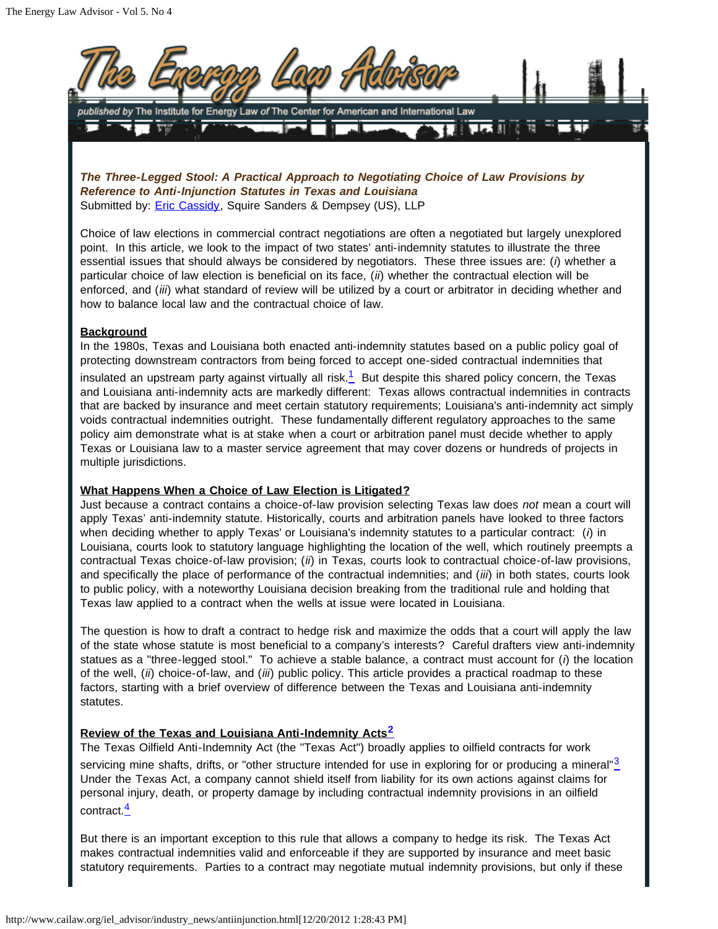

*The Three-Legged Stool: A Practical Approach to Negotiating Choice of Law Provisions by Reference to Anti-Injunction Statutes in Texas and Louisiana* Submitted by: **Eric Cassidy**, Squire Sanders & Dempsey (US), LLP

Choice of law elections in commercial contract negotiations are often a negotiated but largely unexplored point. In this article, we look to the impact of two states' anti-indemnity statutes to illustrate the three essential issues that should always be considered by negotiators. These three issues are: (*i*) whether a particular choice of law election is beneficial on its face, (*ii*) whether the contractual election will be enforced, and (*iii*) what standard of review will be utilized by a court or arbitrator in deciding whether and how to balance local law and the contractual choice of law.

## **Background**

<span id="page-11-0"></span>In the 1980s, Texas and Louisiana both enacted anti-indemnity statutes based on a public policy goal of protecting downstream contractors from being forced to accept one-sided contractual indemnities that insulated an upstream party against virtually all risk. $1/2$  $1/2$  But despite this shared policy concern, the Texas and Louisiana anti-indemnity acts are markedly different: Texas allows contractual indemnities in contracts that are backed by insurance and meet certain statutory requirements; Louisiana's anti-indemnity act simply voids contractual indemnities outright. These fundamentally different regulatory approaches to the same policy aim demonstrate what is at stake when a court or arbitration panel must decide whether to apply Texas or Louisiana law to a master service agreement that may cover dozens or hundreds of projects in multiple jurisdictions.

#### **What Happens When a Choice of Law Election is Litigated?**

Just because a contract contains a choice-of-law provision selecting Texas law does *not* mean a court will apply Texas' anti-indemnity statute. Historically, courts and arbitration panels have looked to three factors when deciding whether to apply Texas' or Louisiana's indemnity statutes to a particular contract: (*i*) in Louisiana, courts look to statutory language highlighting the location of the well, which routinely preempts a contractual Texas choice-of-law provision; (*ii*) in Texas, courts look to contractual choice-of-law provisions, and specifically the place of performance of the contractual indemnities; and (*iii*) in both states, courts look to public policy, with a noteworthy Louisiana decision breaking from the traditional rule and holding that Texas law applied to a contract when the wells at issue were located in Louisiana.

The question is how to draft a contract to hedge risk and maximize the odds that a court will apply the law of the state whose statute is most beneficial to a company's interests? Careful drafters view anti-indemnity statues as a "three-legged stool." To achieve a stable balance, a contract must account for (*i*) the location of the well, (*ii*) choice-of-law, and (*iii*) public policy. This article provides a practical roadmap to these factors, starting with a brief overview of difference between the Texas and Louisiana anti-indemnity statutes.

# <span id="page-11-1"></span>**Review of the Texas and Louisiana Anti-Indemnity Acts[2](#page-14-0)**

<span id="page-11-2"></span>The Texas Oilfield Anti-Indemnity Act (the "Texas Act") broadly applies to oilfield contracts for work servicing mine shafts, drifts, or "other structure intended for use in exploring for or producing a mineral"<sup>[3](#page-14-1)</sup> Under the Texas Act, a company cannot shield itself from liability for its own actions against claims for personal injury, death, or property damage by including contractual indemnity provisions in an oilfield contract.<sup>[4](#page-14-2)</sup>

<span id="page-11-3"></span>But there is an important exception to this rule that allows a company to hedge its risk. The Texas Act makes contractual indemnities valid and enforceable if they are supported by insurance and meet basic statutory requirements. Parties to a contract may negotiate mutual indemnity provisions, but only if these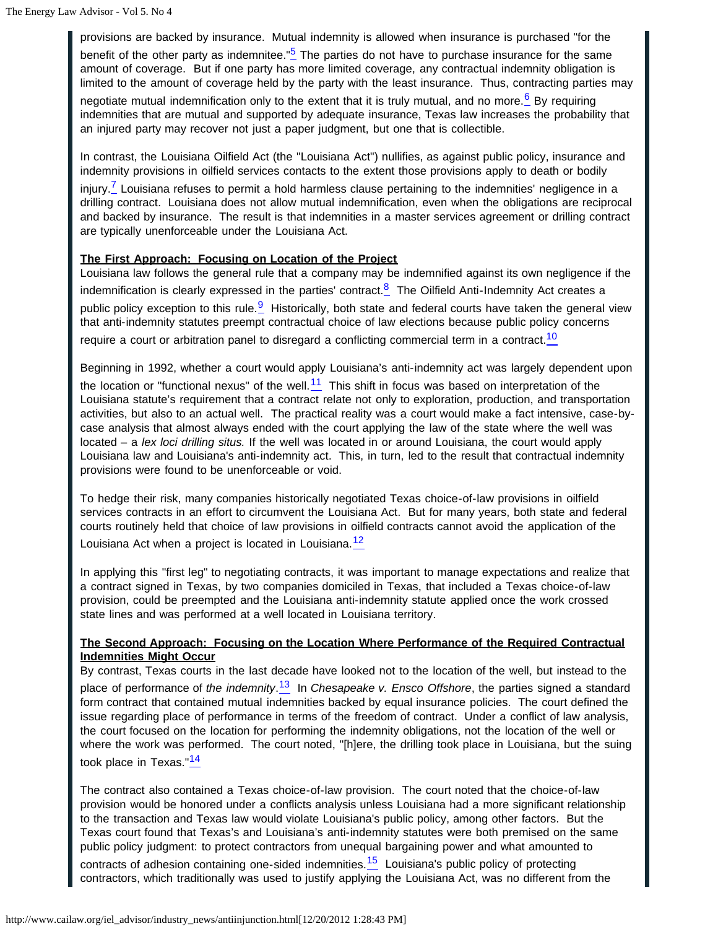<span id="page-12-0"></span>provisions are backed by insurance. Mutual indemnity is allowed when insurance is purchased "for the benefit of the other party as indemnitee."<sup>[5](#page-14-3)</sup> The parties do not have to purchase insurance for the same amount of coverage. But if one party has more limited coverage, any contractual indemnity obligation is limited to the amount of coverage held by the party with the least insurance. Thus, contracting parties may negotiate mutual indemnification only to the extent that it is truly mutual, and no more.<sup>[6](#page-14-4)</sup> By requiring

<span id="page-12-1"></span>indemnities that are mutual and supported by adequate insurance, Texas law increases the probability that an injured party may recover not just a paper judgment, but one that is collectible.

In contrast, the Louisiana Oilfield Act (the "Louisiana Act") nullifies, as against public policy, insurance and indemnity provisions in oilfield services contacts to the extent those provisions apply to death or bodily

<span id="page-12-2"></span>injury.<sup>[7](#page-14-5)</sup> Louisiana refuses to permit a hold harmless clause pertaining to the indemnities' negligence in a drilling contract. Louisiana does not allow mutual indemnification, even when the obligations are reciprocal and backed by insurance. The result is that indemnities in a master services agreement or drilling contract are typically unenforceable under the Louisiana Act.

## **The First Approach: Focusing on Location of the Project**

<span id="page-12-4"></span><span id="page-12-3"></span>Louisiana law follows the general rule that a company may be indemnified against its own negligence if the indemnification is clearly expressed in the parties' contract. $8$  The Oilfield Anti-Indemnity Act creates a public policy exception to this rule.<sup>[9](#page-14-7)</sup> Historically, both state and federal courts have taken the general view that anti-indemnity statutes preempt contractual choice of law elections because public policy concerns require a court or arbitration panel to disregard a conflicting commercial term in a contract.<sup>[10](#page-14-8)</sup>

<span id="page-12-6"></span><span id="page-12-5"></span>Beginning in 1992, whether a court would apply Louisiana's anti-indemnity act was largely dependent upon the location or "functional nexus" of the well. $11$  This shift in focus was based on interpretation of the Louisiana statute's requirement that a contract relate not only to exploration, production, and transportation activities, but also to an actual well. The practical reality was a court would make a fact intensive, case-bycase analysis that almost always ended with the court applying the law of the state where the well was located – a *lex loci drilling situs.* If the well was located in or around Louisiana, the court would apply Louisiana law and Louisiana's anti-indemnity act. This, in turn, led to the result that contractual indemnity provisions were found to be unenforceable or void.

To hedge their risk, many companies historically negotiated Texas choice-of-law provisions in oilfield services contracts in an effort to circumvent the Louisiana Act. But for many years, both state and federal courts routinely held that choice of law provisions in oilfield contracts cannot avoid the application of the Louisiana Act when a project is located in Louisiana. $\frac{12}{12}$  $\frac{12}{12}$  $\frac{12}{12}$ 

<span id="page-12-7"></span>In applying this "first leg" to negotiating contracts, it was important to manage expectations and realize that a contract signed in Texas, by two companies domiciled in Texas, that included a Texas choice-of-law provision, could be preempted and the Louisiana anti-indemnity statute applied once the work crossed state lines and was performed at a well located in Louisiana territory.

## **The Second Approach: Focusing on the Location Where Performance of the Required Contractual Indemnities Might Occur**

<span id="page-12-8"></span>By contrast, Texas courts in the last decade have looked not to the location of the well, but instead to the place of performance of *the indemnity*. [13](#page-14-11) In *Chesapeake v. Ensco Offshore*, the parties signed a standard form contract that contained mutual indemnities backed by equal insurance policies. The court defined the issue regarding place of performance in terms of the freedom of contract. Under a conflict of law analysis, the court focused on the location for performing the indemnity obligations, not the location of the well or where the work was performed. The court noted, "[h]ere, the drilling took place in Louisiana, but the suing took place in Texas."[14](#page-14-12)

<span id="page-12-9"></span>The contract also contained a Texas choice-of-law provision. The court noted that the choice-of-law provision would be honored under a conflicts analysis unless Louisiana had a more significant relationship to the transaction and Texas law would violate Louisiana's public policy, among other factors. But the Texas court found that Texas's and Louisiana's anti-indemnity statutes were both premised on the same public policy judgment: to protect contractors from unequal bargaining power and what amounted to contracts of adhesion containing one-sided indemnities.<sup>[15](#page-14-13)</sup> Louisiana's public policy of protecting

<span id="page-12-10"></span>contractors, which traditionally was used to justify applying the Louisiana Act, was no different from the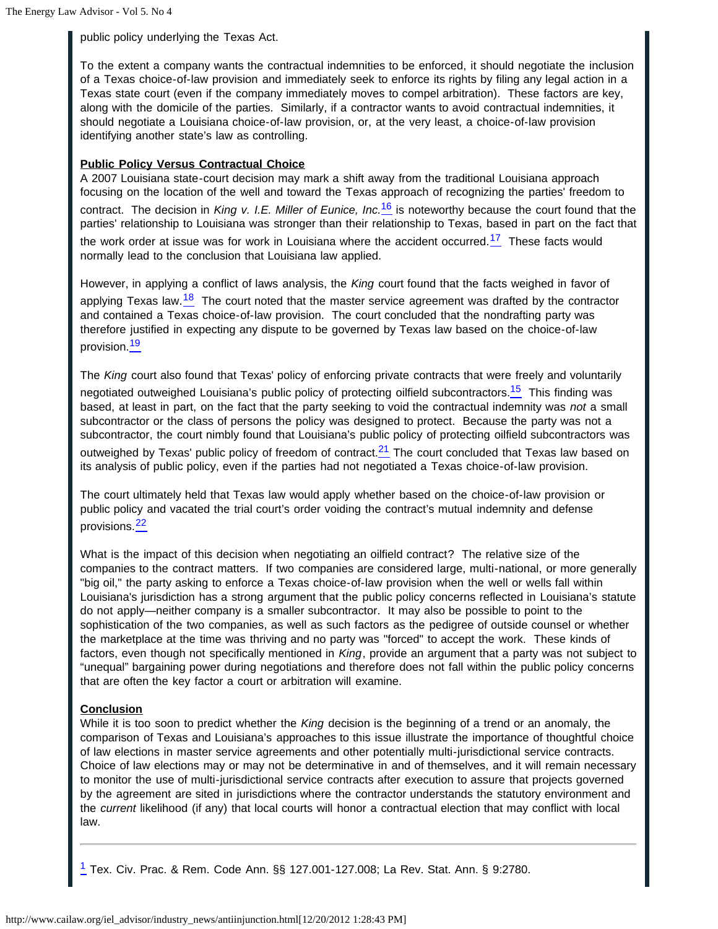public policy underlying the Texas Act.

To the extent a company wants the contractual indemnities to be enforced, it should negotiate the inclusion of a Texas choice-of-law provision and immediately seek to enforce its rights by filing any legal action in a Texas state court (even if the company immediately moves to compel arbitration). These factors are key, along with the domicile of the parties. Similarly, if a contractor wants to avoid contractual indemnities, it should negotiate a Louisiana choice-of-law provision, or, at the very least, a choice-of-law provision identifying another state's law as controlling.

## **Public Policy Versus Contractual Choice**

<span id="page-13-1"></span>A 2007 Louisiana state-court decision may mark a shift away from the traditional Louisiana approach focusing on the location of the well and toward the Texas approach of recognizing the parties' freedom to contract. The decision in *King v. I.E. Miller of Eunice, Inc.*[16](#page-14-14) is noteworthy because the court found that the parties' relationship to Louisiana was stronger than their relationship to Texas, based in part on the fact that the work order at issue was for work in Louisiana where the accident occurred. $17$  These facts would normally lead to the conclusion that Louisiana law applied.

<span id="page-13-3"></span><span id="page-13-2"></span>However, in applying a conflict of laws analysis, the *King* court found that the facts weighed in favor of applying Texas law.<sup>[18](#page-14-16)</sup> The court noted that the master service agreement was drafted by the contractor and contained a Texas choice-of-law provision. The court concluded that the nondrafting party was therefore justified in expecting any dispute to be governed by Texas law based on the choice-of-law provision.<sup>[19](#page-14-17)</sup>

<span id="page-13-5"></span><span id="page-13-4"></span>The *King* court also found that Texas' policy of enforcing private contracts that were freely and voluntarily negotiated outweighed Louisiana's public policy of protecting oilfield subcontractors.<sup>[15](#page-14-18)</sup> This finding was based, at least in part, on the fact that the party seeking to void the contractual indemnity was *not* a small subcontractor or the class of persons the policy was designed to protect. Because the party was not a subcontractor, the court nimbly found that Louisiana's public policy of protecting oilfield subcontractors was outweighed by Texas' public policy of freedom of contract. $2<sup>1</sup>$  The court concluded that Texas law based on its analysis of public policy, even if the parties had not negotiated a Texas choice-of-law provision.

<span id="page-13-6"></span>The court ultimately held that Texas law would apply whether based on the choice-of-law provision or public policy and vacated the trial court's order voiding the contract's mutual indemnity and defense provisions.[22](#page-15-1)

<span id="page-13-7"></span>What is the impact of this decision when negotiating an oilfield contract? The relative size of the companies to the contract matters. If two companies are considered large, multi-national, or more generally "big oil," the party asking to enforce a Texas choice-of-law provision when the well or wells fall within Louisiana's jurisdiction has a strong argument that the public policy concerns reflected in Louisiana's statute do not apply—neither company is a smaller subcontractor. It may also be possible to point to the sophistication of the two companies, as well as such factors as the pedigree of outside counsel or whether the marketplace at the time was thriving and no party was "forced" to accept the work. These kinds of factors, even though not specifically mentioned in *King*, provide an argument that a party was not subject to "unequal" bargaining power during negotiations and therefore does not fall within the public policy concerns that are often the key factor a court or arbitration will examine.

# **Conclusion**

While it is too soon to predict whether the *King* decision is the beginning of a trend or an anomaly, the comparison of Texas and Louisiana's approaches to this issue illustrate the importance of thoughtful choice of law elections in master service agreements and other potentially multi-jurisdictional service contracts. Choice of law elections may or may not be determinative in and of themselves, and it will remain necessary to monitor the use of multi-jurisdictional service contracts after execution to assure that projects governed by the agreement are sited in jurisdictions where the contractor understands the statutory environment and the *current* likelihood (if any) that local courts will honor a contractual election that may conflict with local law.

<span id="page-13-0"></span>[1](#page-11-0) Tex. Civ. Prac. & Rem. Code Ann. §§ 127.001-127.008; La Rev. Stat. Ann. § 9:2780.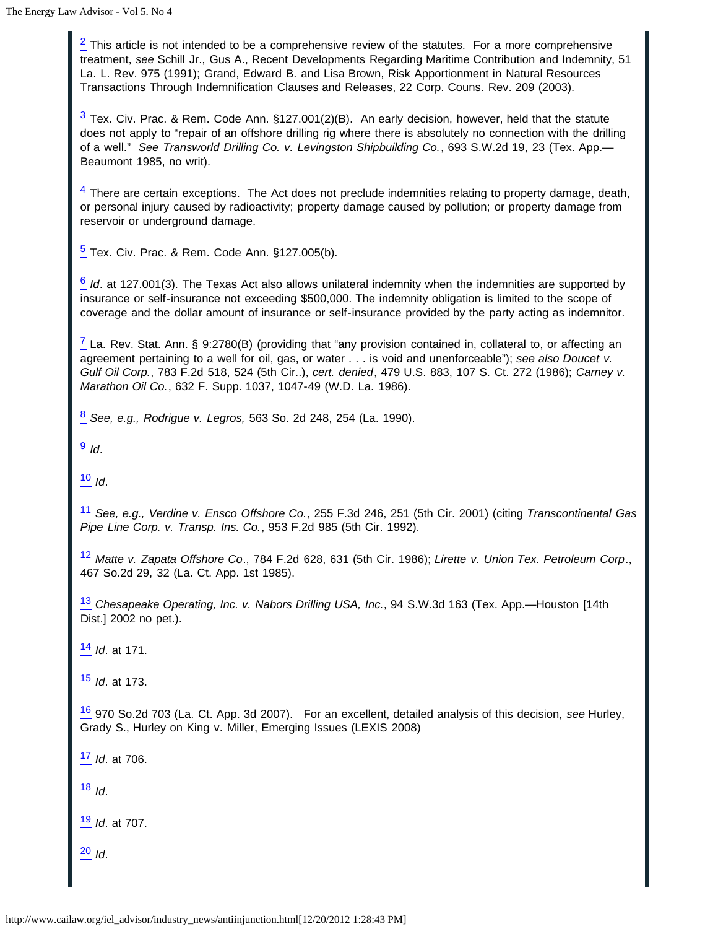<span id="page-14-0"></span> $\frac{2}{3}$  This article is not intended to be a comprehensive review of the statutes. For a more comprehensive treatment, *see* Schill Jr., Gus A., Recent Developments Regarding Maritime Contribution and Indemnity, 51 La. L. Rev. 975 (1991); Grand, Edward B. and Lisa Brown, Risk Apportionment in Natural Resources Transactions Through Indemnification Clauses and Releases, 22 Corp. Couns. Rev. 209 (2003).

<span id="page-14-1"></span> $\frac{3}{2}$  Tex. Civ. Prac. & Rem. Code Ann. §127.001(2)(B). An early decision, however, held that the statute does not apply to "repair of an offshore drilling rig where there is absolutely no connection with the drilling of a well." *See Transworld Drilling Co. v. Levingston Shipbuilding Co.*, 693 S.W.2d 19, 23 (Tex. App.— Beaumont 1985, no writ).

<span id="page-14-2"></span> $\frac{4}{5}$  There are certain exceptions. The Act does not preclude indemnities relating to property damage, death, or personal injury caused by radioactivity; property damage caused by pollution; or property damage from reservoir or underground damage.

<span id="page-14-3"></span> $\frac{5}{2}$  Tex. Civ. Prac. & Rem. Code Ann. §127.005(b).

<span id="page-14-4"></span>[6](#page-12-1) *Id*. at 127.001(3). The Texas Act also allows unilateral indemnity when the indemnities are supported by insurance or self-insurance not exceeding \$500,000. The indemnity obligation is limited to the scope of coverage and the dollar amount of insurance or self-insurance provided by the party acting as indemnitor.

<span id="page-14-5"></span> $\frac{7}{2}$  La. Rev. Stat. Ann. § 9:2780(B) (providing that "any provision contained in, collateral to, or affecting an agreement pertaining to a well for oil, gas, or water . . . is void and unenforceable"); *see also Doucet v. Gulf Oil Corp.*, 783 F.2d 518, 524 (5th Cir..), *cert. denied*, 479 U.S. 883, 107 S. Ct. 272 (1986); *Carney v. Marathon Oil Co.*, 632 F. Supp. 1037, 1047-49 (W.D. La. 1986).

<span id="page-14-6"></span>[8](#page-12-3) *See, e.g., Rodrigue v. Legros,* 563 So. 2d 248, 254 (La. 1990).

<span id="page-14-7"></span>[9](#page-12-4) *Id*.

<span id="page-14-8"></span>[10](#page-12-5) *Id*.

<span id="page-14-9"></span>[11](#page-12-6) *See, e.g., Verdine v. Ensco Offshore Co.*, 255 F.3d 246, 251 (5th Cir. 2001) (citing *Transcontinental Gas Pipe Line Corp. v. Transp. Ins. Co.*, 953 F.2d 985 (5th Cir. 1992).

<span id="page-14-10"></span>[12](#page-12-7) *Matte v. Zapata Offshore Co*., 784 F.2d 628, 631 (5th Cir. 1986); *Lirette v. Union Tex. Petroleum Corp*., 467 So.2d 29, 32 (La. Ct. App. 1st 1985).

<span id="page-14-11"></span>[13](#page-12-8) *Chesapeake Operating, Inc. v. Nabors Drilling USA, Inc.*, 94 S.W.3d 163 (Tex. App.—Houston [14th Dist.] 2002 no pet.).

<span id="page-14-12"></span>[14](#page-12-9) *Id*. at 171.

<span id="page-14-13"></span>[15](#page-12-10) *Id*. at 173.

<span id="page-14-14"></span>[16](#page-13-1) 970 So.2d 703 (La. Ct. App. 3d 2007). For an excellent, detailed analysis of this decision, *see* Hurley, Grady S., Hurley on King v. Miller, Emerging Issues (LEXIS 2008)

<span id="page-14-15"></span>[17](#page-13-2) *Id*. at 706.

<span id="page-14-16"></span>[18](#page-13-3) *Id*.

<span id="page-14-17"></span>[19](#page-13-4) *Id*. at 707.

<span id="page-14-18"></span>[20](#page-13-5) *Id*.